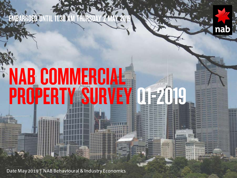### EMBARGOED UNTIL 11.30 AM THURS



# NAB COMMERCIAL PROPERTY SURVEY Q1=2019

Date May 2019 | NAB Behavioural & Industry Economics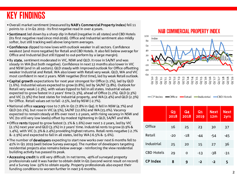### KEY FINDINGS

- •Overall market sentiment (measured by NAB's Commercial Property Index) fell 11 points to -2 in Q1 2019 - its first negative read in over 4 years.
- Sentiment led down by a sharp dip in Retail (negative in all states) and CBD Hotels (its first negative read since mid-2016). Office and Industrial sentiment also mildly softer, but still tracking well above long-term averages.
- •Confidence dipped to new lows with outlook weaker in all sectors. Confidence weakest (and more negative) for Retail and CBD Hotels. It also fell below average for Office and Industrial (but still tipped to out-perform by a large margin).
- •By state, sentiment moderated in VIC, NSW and QLD. It rose in SA/NT and was steady in WA (but both negative). Confidence in next 12 months also lower in VIC and NSW (and in all sectors). QLD steady with improved outlook for Office offsetting weaker Industrial and Retail. WA also lower with Retail very weak. QLD, WA and VIC most confident in next 2 years. NSW negative (first time), led by weak Retail outlook.
- •Capital growth expectations for next year strongest for Office (1.1%), led by QLD (1.6%). Industrial values expected to grow (0.8%), led by SA/NT (3.8%). Outlook for Retail very weak (-2.3%), with values tipped to fall in all states. Industrial values expected to grow fastest in 2 years' time (1.3%), ahead of Office (1.2%). QLD (2.3%) and VIC (1.9%) the best states for Industrial property, and WA (2.4%) and QLD (2.3%) for Office. Retail values set to fall -2.5%, led by NSW (-2.7%).
- National office vacancy rose to 7.9% in Q1 (7.8% in Q4). It fell in NSW (4.7%) and QLD (10.1%), but rose in VIC (4.5%), SA/NT (12.6%) and WA (15.0%). Vacancy expected to remain steady at 8% over next 1-2 years, with rising vacancy in NSW and VIC (to still very low levels) offset by modest tightening in QLD, SA/NT and WA.
- •Office rents tipped to grow fastest (1.1% & 1.6%) over next 1-2 years, led by VIC (2.1%) next year and QLD (3.2%) in 2 years' time. Industrial rents to grow (0.9% & 1.4%), with VIC (1.3% & 2.4%) providing highest returns. Retail rents negative (-2.7% & -2.9%) and expected to fall in all states, led by WA (-6.5% & -5.6%).
- The number of developers expecting to start new works over next 6 months fell to 41% in Q1 2019 (well below Survey average). The number of developers targeting residential projects also remains below average - reinforcing the view residential building activity has passed its peak.
- •Accessing credit is still very difficult. In net terms, -40% of surveyed property professionals said it was harder to obtain debt in Q1 (second worst result on record) and a Survey low -32% to obtain equity. Property professionals also expect their funding conditions to worsen further in next 3-6 months.

#### **NAB COMMERCIAL PROPERTY INDEX**



CP Index - Office - Retail - Industrial - CBD Hotels

|                   | <b>Q3</b><br>2018 | Q4<br>2018 | $Q_1$<br>2019 | <b>Next</b><br>12 <sub>m</sub> | <b>Next</b><br>2yrs |
|-------------------|-------------------|------------|---------------|--------------------------------|---------------------|
| Office            | 16                | 25         | 23            | 30                             | 37                  |
| Retail            | $-20$             | -18        | -44           | $-54$                          | -45                 |
| Industrial        | 25                | 20         | 15            | 27                             | 36                  |
| <b>CBD Hotels</b> | 29                | 0          | $-13$         | -38                            | -31                 |
| <b>CP Index</b>   | 8                 | 9          | -2            | -2                             | 5                   |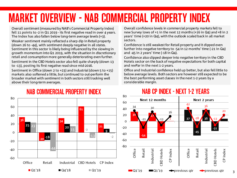# MARKET OVERVIEW - NAB COMMERCIAL PROPERTY INDEX

Overall sentiment (measured by NAB's Commercial Property Index) fell 11 points to -2 in Q1 2019 - its first negative read in over 4 years. The Index has also fallen below long-term average levels (+3). Weaker sentiment mainly reflected a sharp dip in Retail property (down 26 to -44), with sentiment deeply negative in all states. Sentiment in this sector is likely being influenced by the slowing in growth momentum into Q1 2019, with the situation in discretionary retail and consumption more generally deteriorating even further. Sentiment in the CBD Hotels sector also fell quite sharply (down 13 to -13), posting its first negative read since mid-2016.

Sentiment in Office (down 2 to +23) and Industrial (down 5 to +15) markets also softened a little, but continued to out-perform the broader market with sentiment in both sectors still tracking well above their long-term averages.

#### **NAB COMMERCIAL PROPERTY INDEX**



Overall confidence levels in commercial property markets fell to new Survey lows of +1 in the next 12 months (+16 in Q4) and +8 in 2 years' time (+20 in Q4), with the outlook scaled back in all market sectors.

Confidence is still weakest for Retail property and it dipped even further into negative territory to -54 in 12 months' time (-21 in Q4) and -45 in 2 years' time (-18 in Q4).

Confidence also slipped deeper into negative territory in the CBD Hotels sector on the back of negative expectations for both capital and revPar in the next 1-2 years.

Office and Industrial confidence held up better, but also fell little to below average levels. Both sectors are however still expected to be the best performing asset classes in the next 1-2 years by a considerable margin.



### **NAB CP INDEX - NEXT 1-2 YEARS**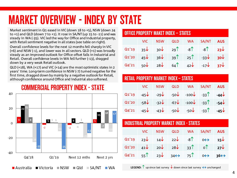# MARKET OVERVIEW - INDEX BY STATE

Market sentiment in Q1 eased in VIC (down 18 to +5), NSW (down 24 to  $+1$ ) and QLD (down  $7$  to  $+1$ ). It rose in SA/NT (up 15 to  $-11$ ) and was steady in WA (-35). VIC led the way for Office and Industrial property, with Retail sentiment negative in all states (see table on right).

Overall confidence levels for the next 12 months fell sharply in VIC (+6) and NSW (-1), and lower was in all sectors. QLD (+1) was broadly steady as an improved outlook for Office offset falls in Industrial and Retail. Overall confidence levels in WA fell further (-13), dragged down by a very weak Retail outlook.

QLD (+18), WA (+17) and VIC (+14) are the most optimistic states in 2 years' time. Long-term confidence in NSW (-7) turned negative for the first time, dragged down by mainly by a negative outlook for Retail, although confidence around Office and Industrial also softened.



#### **COMMERCIAL PROPERTY INDEX - STATE**

#### OFFICE PROPERTY MAKET INDEX – STATES

|  |  | VIC NSW QLD WA SA/NT AUS                                                  |  |
|--|--|---------------------------------------------------------------------------|--|
|  |  | Q1'19 $35\sqrt{30}\sqrt{29}$ $-8\sqrt{30}\sqrt{30}$                       |  |
|  |  | Q1'20 $45\sqrt{36}\sqrt{39}$ $25\sqrt{33}\sqrt{30}\sqrt{30}$              |  |
|  |  | Q4'21 $50\sqrt{28\sqrt{64}}$ $64\sqrt{42\sqrt{17\sqrt{6}}}}$ $37\sqrt{2}$ |  |

#### RETAIL PROPERTY MARKET INDEX – STATES

|  |  | VIC NSW QLD WA SA/NT AUS                                                  |  |
|--|--|---------------------------------------------------------------------------|--|
|  |  | Q1'19 -45 -29 -50 -100 -100 -33 <sup>1</sup> -44                          |  |
|  |  | Q1'20 -58 -32 -32 -67 -100 -33 -54                                        |  |
|  |  | $Q4'21$ $-45\sqrt{43}\sqrt{330}\sqrt{300}$ $-50\sqrt{331}$ $-45\sqrt{30}$ |  |

#### INDUSTRIAL PROPERTY MARKET INDEX - STATES

|  |  | VIC NSW QLD WA SA/NT AUS                                                                  |  |
|--|--|-------------------------------------------------------------------------------------------|--|
|  |  | Q1'19 23 $\sqrt{14}$ 22 $\sqrt{8}$ 6 $\leftrightarrow$ 15 $\sqrt{14}$                     |  |
|  |  | Q1'20 $41\sqrt{20}$ 20 $28\sqrt{33}$ 0 $27\sqrt{2}$                                       |  |
|  |  | $Q4'21$ 55 <sup>1</sup> 23 $34 \leftrightarrow 75$ 0 $\leftrightarrow 36 \leftrightarrow$ |  |

**LEGEND:**  $\uparrow$  up since last survey  $\downarrow$  down since last survey  $\leftrightarrow$  unchanged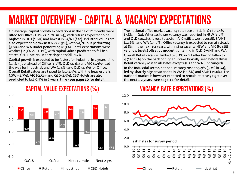# MARKET OVERVIEW - CAPITAL & VACANCY EXPECTATIONS

On average, capital growth expectations in the next 12 months were lifted for Office (1.1% vs. 1.0% in Q4), with returns expected to be highest in QLD (1.6%) and lowest in SA/NT (flat). Industrial values are also expected to grow (0.8% vs. 0.9%), with SA/NT out-performing (3.8%) and WA under-performing (0.3%). Retail expectations were weaker (-2.3% vs. -1.1%), with capital values predicted to fall in all states. CBD Hotel values are tipped to fall -1.2%.

Capital growth is expected to be fastest for Industrial in 2 years' time (1.3%), just ahead of Office (1.2%). QLD (2.3%) and VIC (1.9%) lead the way for Industrial, and WA (2.4%) and QLD (2.3%) for Office. Overall Retail values are tipped to fall -2.5%, with the heaviest falls in NSW (-2.7%), VIC (-2.5%) and QLD (2.5%). CBD Hotels are also predicted to fall -2.5% in 2 years' time - see page 10 for detail.

The national office market vacancy rate rose a little in Q1 to 7.9% (7.8% in Q4). Whereas lower vacancy was reported in NSW (4.7%) and QLD (10.1%), it rose to 4.5% in VIC (still lowest overall), SA/NT (12.6%) and WA (15.0%). Office vacancy is expected to remain steady at 8% in the next 1-2 years, with rising vacancy NSW and VIC (to still very low levels) offset by modest tightening in QLD, SA/NT and WA. Overall Retail vacancy climbed to 6.1% in Q1 after having fallen to 4.7% in Q4 on the back of higher uptake typically seen before Xmas. Retail vacancy rose in all states except QLD and WA (unchanged). In the Industrial sector, national vacancy rose to 5.9% (5.4% in Q4), led by sharply higher vacancies in WA (11.8%) and SA/NT (9.0%). The national market is however expected to remain relatively tight over the next 1-2 years - see page 11 for detail.

#### **VACANCY RATE EXPECTATIONS (%)**



# **CAPITAL VALUE EXPECTATIONS (%)**

 $2.0$ 

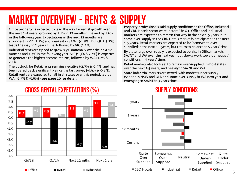## MARKET OVERVIEW - RENTS & SUPPLY

Office property is expected to lead the way for rental growth over the next 1 -2 years, growing by 1.1% in 12 months time and by 1.6% in the following year. Expectations in the next 12 months are strongest in VIC (2.1%) and weakest in SA/NT (-1.8%), but QLD (3.2%) leads the way in 2 years' time, followed by VIC (2.2%).

Industrial rents are tipped to grow 0.9% nationally over the next 12 months and 1.4% in the following year. VIC (1.3% & 2.4%) is expected to generate the highest income returns, followed by WA (1.2% & 2.1%).

The outlook for Retail rents remains negative (-2.7% & -2.9%) and has been pared back significantly since the last survey (-0.9% & -0.8%). Retail rents are expected to fall in all states over this period, led by WA (-6.5% & -5.6%) - see page 10 for detail.

Property professionals said supply conditions in the Office, Industrial and CBD Hotels sector were 'neutral' in Q1. Office and Industrial markets are expected to remain that way in the next 1-5 years, but some over-supply in the CBD Hotels market is anticipated in the next 1-5 years. Retail markets are expected to be 'somewhat' oversupplied in the next 1-3 years, but return to balance in 5 years' time.

By state large over-supply is expected to persist in Office markets in SA/NT and WA over the next year, but slowly work towards 'neutral' conditions in 5 years' time.

Retail markets also look set to remain over-supplied in most states over the next 1-3 years, and heavily in SA/NT and WA.

State industrial markets are mixed, with modest under-supply evident in NSW and QLD and some over-supply in WA next year and emerging in SA/NT in 3 years time.

**SUPPLY CONDITIONS** 



#### **GROSS RENTAL EXPECTATIONS (%)**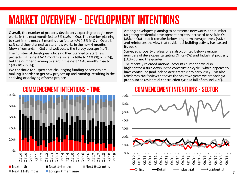### MARKET OVERVIEW - DEVELOPMENT INTENTIONS

its peak.

(13%) during the quarter.

Overall, the number of property developers expecting to begin new works in the next month fell to 6% (12% in Q4). The number planning to start in the next 1-6 months also fell to 35% (38% in Q4). Overall, 41% said they planned to start new works in the next 6 months (down from 49% in Q4) and well below the Survey average (50%).

The number of developers who said they planned to start new projects in the next 6-12 months also fell a little to 22% (23% in Q4), but the number planning to start in the next 12-18 months rose to 19% (10% in Q4).

We continue to suspect that challenging funding conditions are making it harder to get new projects up and running, resulting in the shelving or delaying of some projects.



### **COMMENCEMENT INTENTIONS - SECTOR**

Among developers planning to commence new works, the number targeting residential development projects increased to 51% in Q1 (48% in Q4) - but it remains below long-term average levels (54%), and reinforces the view that residential building activity has passed

numbers of developers targeting Office (9%) and Industrial property

highlighted a turn down in the construction cycle - which appears to have continued (and indeed accelerated) into early-2019. This also reinforces NAB's view that over the next two years we are facing a pronounced residential construction cycle (a fall of around 20%).

Surveyed property professionals also pointed below average

The recently released national accounts number have also

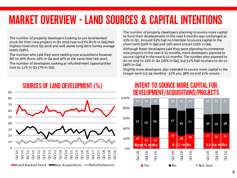### MARKET OVERVIEW - LAND SOURCES & CAPITAL INTENTIONS

The number of property developers looking to use land-banked stock for their new projects in Q1 2019 rose to 67% (61% in Q4),their highest level since Q3 2016 and well above long-term Survey average levels (59%).

The number who said they were seeking new acquisitions however fell to 20% (from 29% in Q4 and 30% at the same time last year).

The number of developers looking at refurbishment opportunities rose to 11% in Q1 (7% in Q4).

The number of property developers planning to source more capital to fund their developments in the next 6 months was unchanged at 23% in Q1. Around 63% had no intention to source capital in the short-term (59% in Q4) and 14% were unsure (19% in Q4).

Although fewer developers said they were planning to commence new projects in the next 6-12 months, more developers planned to source capital in the next 6-12 months. The number who planned to do so rose to 29% in Q1 (26% in Q4), but 51% had no plans to do so (46% in Q4).

Slightly more developers also intended to source more capital in the longer-term (12-24 months) - 31% yes, 38% no and 31% unsure.



#### INTENT TO SOURCE MORE CAPITAL FOR DEVELOPMENT/ACQUISITIONS/PROJECTS

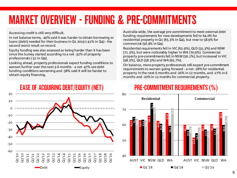# MARKET OVERVIEW - FUNDING & PRE-COMMITMENTS

Accessing credit is still very difficult.

In net balance terms, -40% said it was harder to obtain borrowing or loans (debt) needed for their business in Q1 2019 (-41% in Q4) - the second worst result on record.

Equity funding was also assessed as being harder than it has been since the Survey started according to a net -32% of property professionals (-31 in Q4).

Looking ahead, property professionals expect funding conditions to worsen further over the next 3-6 months - a net -47% see debt funding conditions worsening and -38% said it will be harder to obtain equity financing.

Australia wide, the average pre-commitment to meet external debt funding requirements for new developments fell to 64.0% for residential property in Q1 (65.3% in Q4), but rose to 58.9% for commercial (56.9% in Q4).

Residential requirements fell in VIC (62.9%), QLD (55.3%) and NSW (71.3%), but were noticeably higher in WA (70.9%). Commercial property pre-commitments fell in NSW (56.1%), but increased in VIC (58.3%), QLD (58.3%) and WA (65.7%).

On balance, more property professionals still expect pre-commitment requirements to worsen going forward - a net -28% for residential property in the next 6 months and -26% in 12 months, and -27% in 6 months and -20% in 12 months for commercial property.



#### **EASE OF ACQUIRING DEBT/EQUITY (NET)**

#### **PRE-COMMITMENT REQUIREMENTS (%)**

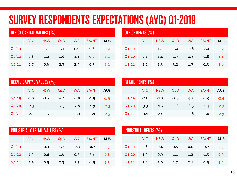### SURVEY RESPONDENTS EXPECTATIONS (AVG) Q1-2019

| <b>OFFICE CAPITAL VALUES (%)</b> |      |            |            |           |       |            |  |  |
|----------------------------------|------|------------|------------|-----------|-------|------------|--|--|
|                                  | VIC. | <b>NSW</b> | <b>QLD</b> | <b>WA</b> | SA/NT | <b>AUS</b> |  |  |
| Q1'19                            | 0.7  | 1.1        | 1.1        | 0.0       | 0.6   | 0.9        |  |  |
| Q1'20                            | 0.8  | 1.2        | 1.6        | 1.1       | 0.0   | 1.1        |  |  |
| Q1'21                            | 0.7  | 0.6        | 2.3        | 2.4       | 0.3   | 1.2        |  |  |

| OFFICE RENTS (%) |      |            |            |           |        |            |  |  |
|------------------|------|------------|------------|-----------|--------|------------|--|--|
|                  | VIC. | <b>NSW</b> | <b>QLD</b> | <b>WA</b> | SA/NT  | <b>AUS</b> |  |  |
| Q1'19            | 2.9  | 1.1        | 1.0        | $-0.6$    | $-2.0$ | 0.9        |  |  |
| Q1'20            | 2.1  | 1.4        | 1.7        | 0.3       | $-1.8$ | $1.1$      |  |  |
| Q1'21            | 2.2  | 1.3        | 3.2        | 1.7       | $-1.3$ | <b>1.6</b> |  |  |

| <b>RETAIL CAPITAL VALUES (%)</b> |            |                             |               |           |        |            |  |  |  |
|----------------------------------|------------|-----------------------------|---------------|-----------|--------|------------|--|--|--|
|                                  | <b>VIC</b> | <b>NSW</b>                  | <b>QLD</b>    | <b>WA</b> | SA/NT  | <b>AUS</b> |  |  |  |
| Q1'19                            |            | $-1.7$ $-1.3$ $-2.1$ $-2.8$ |               |           | $-1.9$ | $-1.8$     |  |  |  |
| Q1'20                            | $-2.3$     | $-2.0$                      | $-2.5$ $-2.8$ |           | $-1.9$ | $-2.3$     |  |  |  |
| Q1'21                            |            | $-2.5$ $-2.7$               | $-2.5$        | $-1.9$    | $-1.9$ | $-2.5$     |  |  |  |

| <b>RETAIL RENTS (%)</b> |        |            |                                    |           |        |            |  |  |
|-------------------------|--------|------------|------------------------------------|-----------|--------|------------|--|--|
|                         | VIC.   | <b>NSW</b> | <b>QLD</b>                         | <b>WA</b> | SA/NT  | <b>AUS</b> |  |  |
| Q1'19                   |        |            | $-2.6$ $-1.2$ $-2.6$ $-7.5$ $-2.3$ |           |        | $-2.4$     |  |  |
| Q1'20                   | $-3.3$ |            | $-1.7$ $-2.6$                      | $-6.5$    | $-1.4$ | $-2.7$     |  |  |
| Q1'21                   | $-3.9$ | $-2.0$     | $-2.3$                             | $-5.6$    | $-1.4$ | $-2.9$     |  |  |

| <b>INDUSTRIAL CAPITAL VALUES (%)</b> |      |            |            |           |        |            |  |  |
|--------------------------------------|------|------------|------------|-----------|--------|------------|--|--|
|                                      | VIC. | <b>NSW</b> | <b>QLD</b> | <b>WA</b> | SA/NT  | <b>AUS</b> |  |  |
| Q1'19                                | 0.9  | 0.3        | 1.7        | $-0.3$    | $-0.7$ | 0.7        |  |  |
| Q1'20                                | 1.3  | 0.4        | 1.6        | 0.3       | 3.8    | 0.8        |  |  |
| Q1'21                                | 1.9  | 0.5        | 2.3        | 1.5       | $-1.5$ | 1.3        |  |  |

| <b>INDUSTRIAL RENTS (%)</b> |      |            |            |           |        |            |  |  |
|-----------------------------|------|------------|------------|-----------|--------|------------|--|--|
|                             | VIC. | <b>NSW</b> | <b>QLD</b> | <b>WA</b> | SA/NT  | <b>AUS</b> |  |  |
| Q1'19                       | 0.6  | 0.4        | 0.5        | 0.0       | $-0.7$ | 0.3        |  |  |
| Q1'20                       | 1.3  | 0.9        | 1.1        | 1.2       | $-1.5$ | 0.9        |  |  |
| Q1'21                       | 2.4  | 1.0        | 1.7        | 2.1       | $-1.5$ | 1.4        |  |  |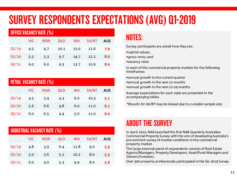# SURVEY RESPONDENTS EXPECTATIONS (AVG) Q1-2019

| <b>OFFICE VACANCY RATE (%)</b> |      |            |            |           |       |            |  |  |
|--------------------------------|------|------------|------------|-----------|-------|------------|--|--|
|                                | VIC. | <b>NSW</b> | <b>QLD</b> | <b>WA</b> | SA/NT | <b>AUS</b> |  |  |
| Q1'19                          | 4.5  | 4.7        | 10.1       | 15.0      | 12.6  | 7.9        |  |  |
| Q1'20                          | 5.5  | 5.3        | 9.7        | 14.7      | 12.2  | 8.0        |  |  |
| Q1'21                          | 6.0  | 6.0        | 9.3        | 13.7      | 10.6  | 8.0        |  |  |

| <b>RETAIL VACANCY RATE (%)</b> |      |            |            |           |       |            |  |  |
|--------------------------------|------|------------|------------|-----------|-------|------------|--|--|
|                                | VIC. | <b>NSW</b> | <b>QLD</b> | <b>WA</b> | SA/NT | <b>AUS</b> |  |  |
| Q1'19                          | 4.5  | 5.4        | 4.3        | 6.0       | 10.3  | 5.1        |  |  |
| Q1'20                          | 5.6  | 6.6        | 4.8        | 6.0       | 11.0  | 6.1        |  |  |
| Q1'21                          | 6.0  | 6.5        | 4.4        | 5.0       | 11.0  | 6.0        |  |  |

| <b>INDUSTRIAL VACANCY RATE (%)</b> |      |            |            |           |       |            |
|------------------------------------|------|------------|------------|-----------|-------|------------|
|                                    | VIC. | <b>NSW</b> | <b>QLD</b> | <b>WA</b> | SA/NT | <b>AUS</b> |
| Q1'19                              | 4.8  | 3.9        | 6.4        | 11.8      | 9.0   | 5.9        |
| Q1'20                              | 5.0  | 3.6        | 5.2        | 10.2      | 8.0   | 5.3        |
| Q1'21                              | 6.0  | 4.0        | 5.3        | 9.4       | 8.0   | 5.6        |

### NOTES:

Survey participants are asked how they see:

- •capital values;
- •gross rents; and
- •vacancy rates

In each of the commercial property markets for the following timeframes:

•annual growth to the current quarter

- •annual growth in the next 12 months
- •annual growth in the next 12-24 months

Average expectations for each state are presented in the accompanying tables.

\*Results for SA/NT may be biased due to a smaller sample size.

### ABOUT THE SURVEY

In April 2010, NAB launched the first NAB Quarterly Australian Commercial Property Survey with the aim of developing Australia's pre-eminent survey of market conditions in the commercial property market.

The large external panel of respondents consists of Real Estate Agents/Managers, Property Developers, Asset/Fund Managers and Owners/Investors.

Over 300 property professionals participated in the Q1 2019 Survey.